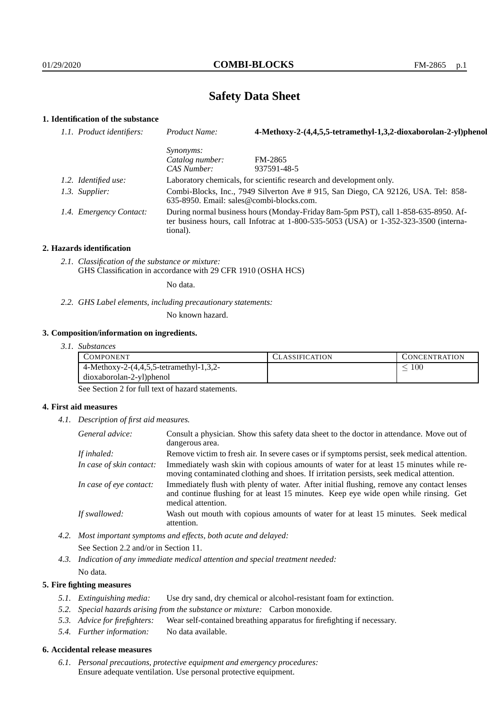# **Safety Data Sheet**

# **1. Identification of the substance**

| 1.1. Product identifiers: | Product Name:                                                                                                                                                                           | 4-Methoxy-2-(4,4,5,5-tetramethyl-1,3,2-dioxaborolan-2-yl)phenol |
|---------------------------|-----------------------------------------------------------------------------------------------------------------------------------------------------------------------------------------|-----------------------------------------------------------------|
|                           | <i>Synonyms:</i>                                                                                                                                                                        |                                                                 |
|                           | Catalog number:                                                                                                                                                                         | FM-2865                                                         |
|                           | CAS Number:                                                                                                                                                                             | 937591-48-5                                                     |
| 1.2. Identified use:      | Laboratory chemicals, for scientific research and development only.                                                                                                                     |                                                                 |
| 1.3. Supplier:            | Combi-Blocks, Inc., 7949 Silverton Ave # 915, San Diego, CA 92126, USA. Tel: 858-<br>$635-8950$ . Email: sales@combi-blocks.com.                                                        |                                                                 |
| 1.4. Emergency Contact:   | During normal business hours (Monday-Friday 8am-5pm PST), call 1-858-635-8950. Af-<br>ter business hours, call Infotrac at 1-800-535-5053 (USA) or 1-352-323-3500 (interna-<br>tional). |                                                                 |

### **2. Hazards identification**

*2.1. Classification of the substance or mixture:* GHS Classification in accordance with 29 CFR 1910 (OSHA HCS)

No data.

*2.2. GHS Label elements, including precautionary statements:*

No known hazard.

### **3. Composition/information on ingredients.**

*3.1. Substances*

| COMPONENT                                    | 'LASSIFICATION | <b>CONCENTRATION</b> |
|----------------------------------------------|----------------|----------------------|
| 4-Methoxy-2- $(4,4,5,5)$ -tetramethyl-1,3,2- |                | $100\,$              |
| dioxaborolan-2-yl)phenol                     |                |                      |

See Section 2 for full text of hazard statements.

### **4. First aid measures**

*4.1. Description of first aid measures.*

| General advice:          | Consult a physician. Show this safety data sheet to the doctor in attendance. Move out of<br>dangerous area.                                                                                            |
|--------------------------|---------------------------------------------------------------------------------------------------------------------------------------------------------------------------------------------------------|
| If inhaled:              | Remove victim to fresh air. In severe cases or if symptoms persist, seek medical attention.                                                                                                             |
| In case of skin contact: | Immediately wash skin with copious amounts of water for at least 15 minutes while re-<br>moving contaminated clothing and shoes. If irritation persists, seek medical attention.                        |
| In case of eye contact:  | Immediately flush with plenty of water. After initial flushing, remove any contact lenses<br>and continue flushing for at least 15 minutes. Keep eye wide open while rinsing. Get<br>medical attention. |
| If swallowed:            | Wash out mouth with copious amounts of water for at least 15 minutes. Seek medical<br>attention.                                                                                                        |

- *4.2. Most important symptoms and effects, both acute and delayed:* See Section 2.2 and/or in Section 11.
- *4.3. Indication of any immediate medical attention and special treatment needed:* No data.

## **5. Fire fighting measures**

- *5.1. Extinguishing media:* Use dry sand, dry chemical or alcohol-resistant foam for extinction.
- *5.2. Special hazards arising from the substance or mixture:* Carbon monoxide.
- *5.3. Advice for firefighters:* Wear self-contained breathing apparatus for firefighting if necessary.
- *5.4. Further information:* No data available.

# **6. Accidental release measures**

*6.1. Personal precautions, protective equipment and emergency procedures:* Ensure adequate ventilation. Use personal protective equipment.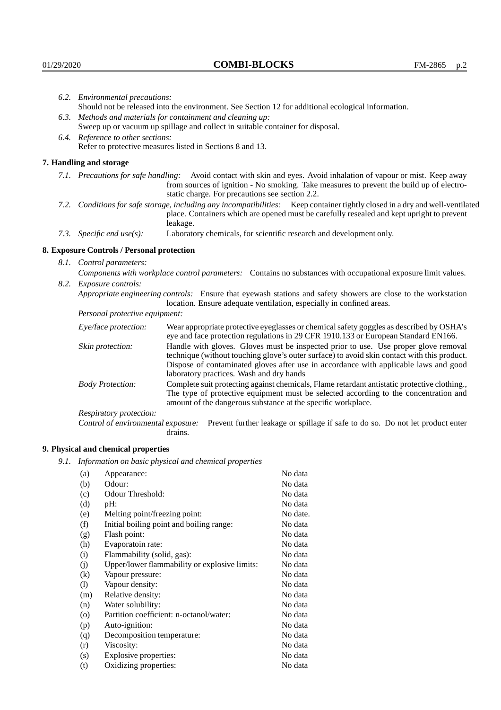|                          | 6.2. Environmental precautions:                                                                                                                                                                                                                                    |                                                                                                                                                                                                                                                                                                                        |  |  |
|--------------------------|--------------------------------------------------------------------------------------------------------------------------------------------------------------------------------------------------------------------------------------------------------------------|------------------------------------------------------------------------------------------------------------------------------------------------------------------------------------------------------------------------------------------------------------------------------------------------------------------------|--|--|
|                          | Should not be released into the environment. See Section 12 for additional ecological information.                                                                                                                                                                 |                                                                                                                                                                                                                                                                                                                        |  |  |
|                          |                                                                                                                                                                                                                                                                    | 6.3. Methods and materials for containment and cleaning up:                                                                                                                                                                                                                                                            |  |  |
|                          | Sweep up or vacuum up spillage and collect in suitable container for disposal.                                                                                                                                                                                     |                                                                                                                                                                                                                                                                                                                        |  |  |
|                          | 6.4. Reference to other sections:                                                                                                                                                                                                                                  |                                                                                                                                                                                                                                                                                                                        |  |  |
|                          |                                                                                                                                                                                                                                                                    | Refer to protective measures listed in Sections 8 and 13.                                                                                                                                                                                                                                                              |  |  |
|                          | 7. Handling and storage                                                                                                                                                                                                                                            |                                                                                                                                                                                                                                                                                                                        |  |  |
|                          | 7.1. Precautions for safe handling: Avoid contact with skin and eyes. Avoid inhalation of vapour or mist. Keep away<br>from sources of ignition - No smoking. Take measures to prevent the build up of electro-<br>static charge. For precautions see section 2.2. |                                                                                                                                                                                                                                                                                                                        |  |  |
|                          |                                                                                                                                                                                                                                                                    | 7.2. Conditions for safe storage, including any incompatibilities: Keep container tightly closed in a dry and well-ventilated<br>place. Containers which are opened must be carefully resealed and kept upright to prevent<br>leakage.                                                                                 |  |  |
|                          | 7.3. Specific end use(s):                                                                                                                                                                                                                                          | Laboratory chemicals, for scientific research and development only.                                                                                                                                                                                                                                                    |  |  |
|                          | 8. Exposure Controls / Personal protection                                                                                                                                                                                                                         |                                                                                                                                                                                                                                                                                                                        |  |  |
| 8.1. Control parameters: |                                                                                                                                                                                                                                                                    |                                                                                                                                                                                                                                                                                                                        |  |  |
|                          | Components with workplace control parameters: Contains no substances with occupational exposure limit values.                                                                                                                                                      |                                                                                                                                                                                                                                                                                                                        |  |  |
|                          | 8.2. Exposure controls:                                                                                                                                                                                                                                            |                                                                                                                                                                                                                                                                                                                        |  |  |
|                          |                                                                                                                                                                                                                                                                    | Appropriate engineering controls: Ensure that eyewash stations and safety showers are close to the workstation<br>location. Ensure adequate ventilation, especially in confined areas.                                                                                                                                 |  |  |
|                          | Personal protective equipment:                                                                                                                                                                                                                                     |                                                                                                                                                                                                                                                                                                                        |  |  |
|                          | Eye/face protection:                                                                                                                                                                                                                                               | Wear appropriate protective eyeglasses or chemical safety goggles as described by OSHA's<br>eye and face protection regulations in 29 CFR 1910.133 or European Standard EN166.                                                                                                                                         |  |  |
|                          | Skin protection:                                                                                                                                                                                                                                                   | Handle with gloves. Gloves must be inspected prior to use. Use proper glove removal<br>technique (without touching glove's outer surface) to avoid skin contact with this product.<br>Dispose of contaminated gloves after use in accordance with applicable laws and good<br>laboratory practices. Wash and dry hands |  |  |
|                          | <b>Body Protection:</b>                                                                                                                                                                                                                                            | Complete suit protecting against chemicals, Flame retardant antistatic protective clothing.,<br>The type of protective equipment must be selected according to the concentration and<br>amount of the dangerous substance at the specific workplace.                                                                   |  |  |
|                          | Respiratory protection:                                                                                                                                                                                                                                            |                                                                                                                                                                                                                                                                                                                        |  |  |

Control of environmental exposure: Prevent further leakage or spillage if safe to do so. Do not let product enter drains.

# **9. Physical and chemical properties**

*9.1. Information on basic physical and chemical properties*

| (a)                        | Appearance:                                   | No data  |
|----------------------------|-----------------------------------------------|----------|
| (b)                        | Odour:                                        | No data  |
| (c)                        | Odour Threshold:                              | No data  |
| (d)                        | pH:                                           | No data  |
| (e)                        | Melting point/freezing point:                 | No date. |
| (f)                        | Initial boiling point and boiling range:      | No data  |
| (g)                        | Flash point:                                  | No data  |
| (h)                        | Evaporatoin rate:                             | No data  |
| (i)                        | Flammability (solid, gas):                    | No data  |
| (j)                        | Upper/lower flammability or explosive limits: | No data  |
| $\left( k\right)$          | Vapour pressure:                              | No data  |
| $\left( \mathrm{l}\right)$ | Vapour density:                               | No data  |
| (m)                        | Relative density:                             | No data  |
| (n)                        | Water solubility:                             | No data  |
| $\circ$                    | Partition coefficient: n-octanol/water:       | No data  |
| (p)                        | Auto-ignition:                                | No data  |
| (q)                        | Decomposition temperature:                    | No data  |
| (r)                        | Viscosity:                                    | No data  |
| (s)                        | Explosive properties:                         | No data  |
| (t)                        | Oxidizing properties:                         | No data  |
|                            |                                               |          |